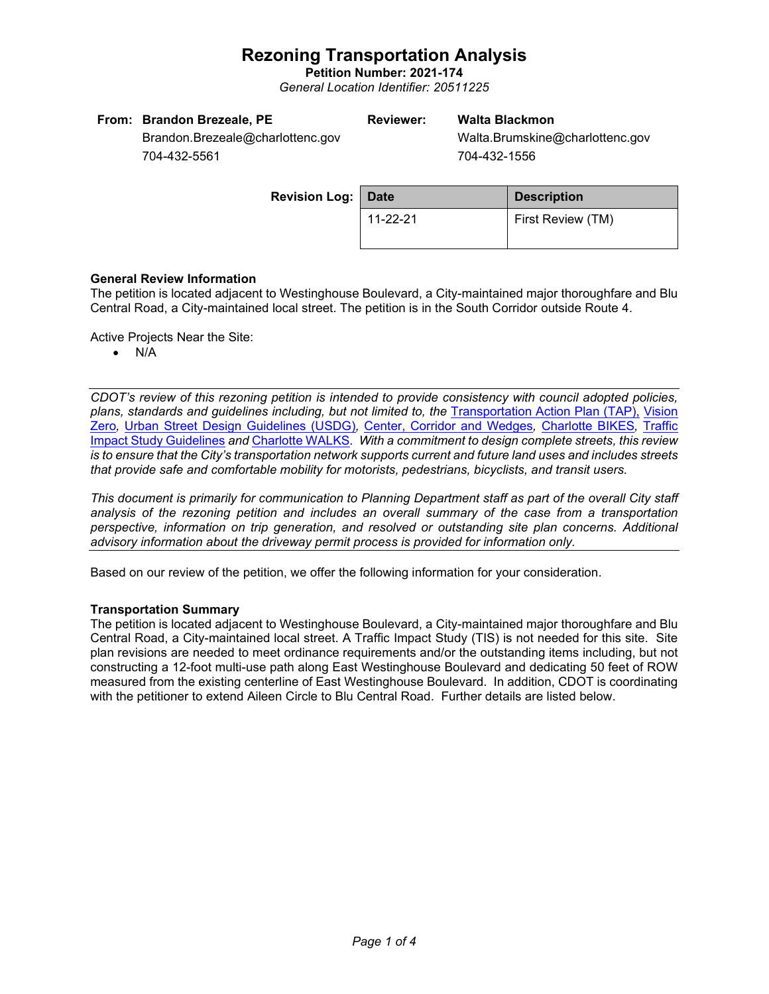# **Rezoning Transportation Analysis**

**Petition Number: 2021-174** *General Location Identifier: 20511225*

| From: Brandon Brezeale, PE       | Reviewer: | Walta Blackmon                  |
|----------------------------------|-----------|---------------------------------|
| Brandon.Brezeale@charlottenc.gov |           | Walta.Brumskine@charlottenc.gov |
| 7011225554                       |           | $701$ $122$ $1556$              |

704-432-5561

704-432-1556

| <b>Revision Log: Date</b> |          | <b>Description</b> |  |
|---------------------------|----------|--------------------|--|
|                           | 11-22-21 | First Review (TM)  |  |
|                           |          |                    |  |

## **General Review Information**

The petition is located adjacent to Westinghouse Boulevard, a City-maintained major thoroughfare and Blu Central Road, a City-maintained local street. The petition is in the South Corridor outside Route 4.

Active Projects Near the Site:

• N/A

*CDOT's review of this rezoning petition is intended to provide consistency with council adopted policies, plans, standards and guidelines including, but not limited to, the* [Transportation Action Plan \(TAP\),](https://charlottenc.gov/Transportation/Programs/Pages/TransportationActionPlan.aspx) [Vision](https://charlottenc.gov/VisionZero/Pages/VisionZero.aspx)  [Zero](https://charlottenc.gov/VisionZero/Pages/VisionZero.aspx)*,* [Urban Street Design Guidelines \(USDG\)](https://charlottenc.gov/Transportation/PlansProjects/Documents/USDG%20Full%20Document.pdf)*,* [Center, Corridor and Wedges](http://ww.charmeck.org/Planning/Land%20Use%20Planning/CentersCorridorsWedges/CentersCorridorsWedges(Adopted).pdf)*,* [Charlotte BIKES](https://charlottenc.gov/Transportation/Programs/Pages/Bicycle.aspx)*,* [Traffic](https://charlottenc.gov/Transportation/Permits/Documents/TISProcessandGuildlines.pdf)  [Impact Study Guidelines](https://charlottenc.gov/Transportation/Permits/Documents/TISProcessandGuildlines.pdf) *and* [Charlotte WALKS](https://charlottenc.gov/Transportation/Programs/Pages/CharlotteWalks.aspx)*. With a commitment to design complete streets, this review is to ensure that the City's transportation network supports current and future land uses and includes streets that provide safe and comfortable mobility for motorists, pedestrians, bicyclists, and transit users.*

*This document is primarily for communication to Planning Department staff as part of the overall City staff analysis of the rezoning petition and includes an overall summary of the case from a transportation perspective, information on trip generation, and resolved or outstanding site plan concerns. Additional advisory information about the driveway permit process is provided for information only.*

Based on our review of the petition, we offer the following information for your consideration.

### **Transportation Summary**

The petition is located adjacent to Westinghouse Boulevard, a City-maintained major thoroughfare and Blu Central Road, a City-maintained local street. A Traffic Impact Study (TIS) is not needed for this site. Site plan revisions are needed to meet ordinance requirements and/or the outstanding items including, but not constructing a 12-foot multi-use path along East Westinghouse Boulevard and dedicating 50 feet of ROW measured from the existing centerline of East Westinghouse Boulevard. In addition, CDOT is coordinating with the petitioner to extend Aileen Circle to Blu Central Road. Further details are listed below.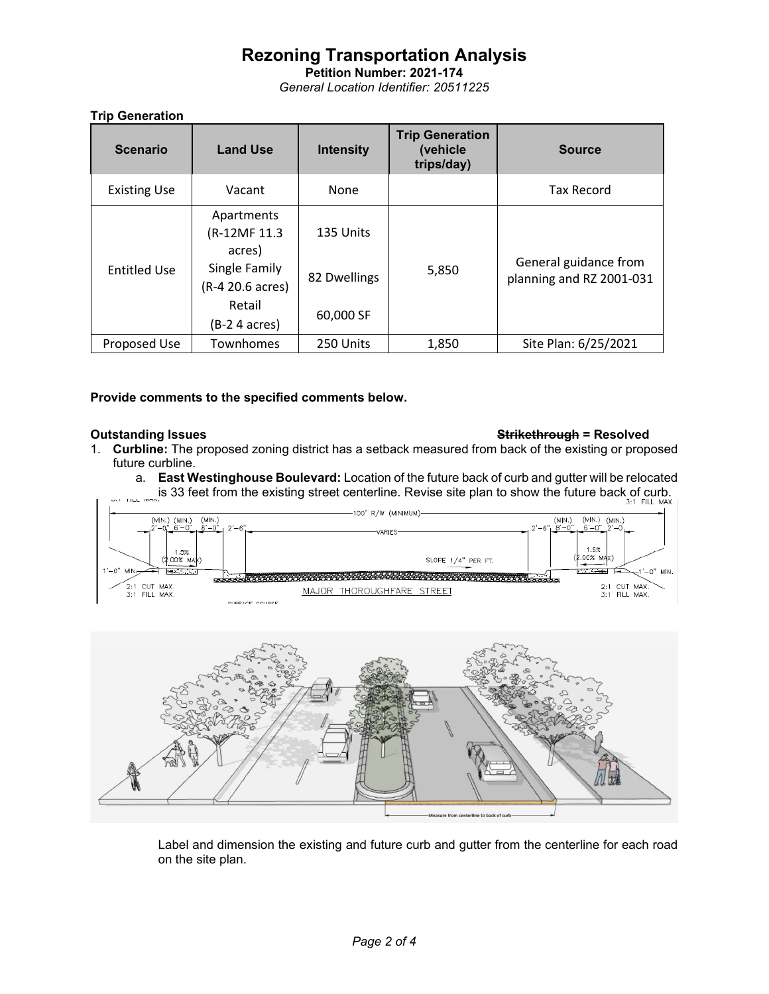# **Rezoning Transportation Analysis**

**Petition Number: 2021-174** *General Location Identifier: 20511225*

## **Trip Generation**

| <b>Scenario</b>     | <b>Land Use</b>                       | <b>Intensity</b> | <b>Trip Generation</b><br>(vehicle<br>trips/day) | <b>Source</b>                                     |
|---------------------|---------------------------------------|------------------|--------------------------------------------------|---------------------------------------------------|
| <b>Existing Use</b> | Vacant                                | None             |                                                  | <b>Tax Record</b>                                 |
|                     | Apartments<br>(R-12MF 11.3)<br>acres) | 135 Units        | 5,850                                            | General guidance from<br>planning and RZ 2001-031 |
| <b>Entitled Use</b> | Single Family<br>(R-4 20.6 acres)     | 82 Dwellings     |                                                  |                                                   |
|                     | Retail<br>(B-2 4 acres)               | 60,000 SF        |                                                  |                                                   |
| Proposed Use        | Townhomes                             | 250 Units        | 1,850                                            | Site Plan: 6/25/2021                              |

### **Provide comments to the specified comments below.**

### **Outstanding Issues Strikethrough = Resolved**

- 1. **Curbline:** The proposed zoning district has a setback measured from back of the existing or proposed future curbline.
	- a. **East Westinghouse Boulevard:** Location of the future back of curb and gutter will be relocated **Exert From the existing street centerline. Revise site plan to show the future back of curb.**<br>Lis 33 feet from the existing street centerline. Revise site plan to show the future back of curb.





Label and dimension the existing and future curb and gutter from the centerline for each road on the site plan.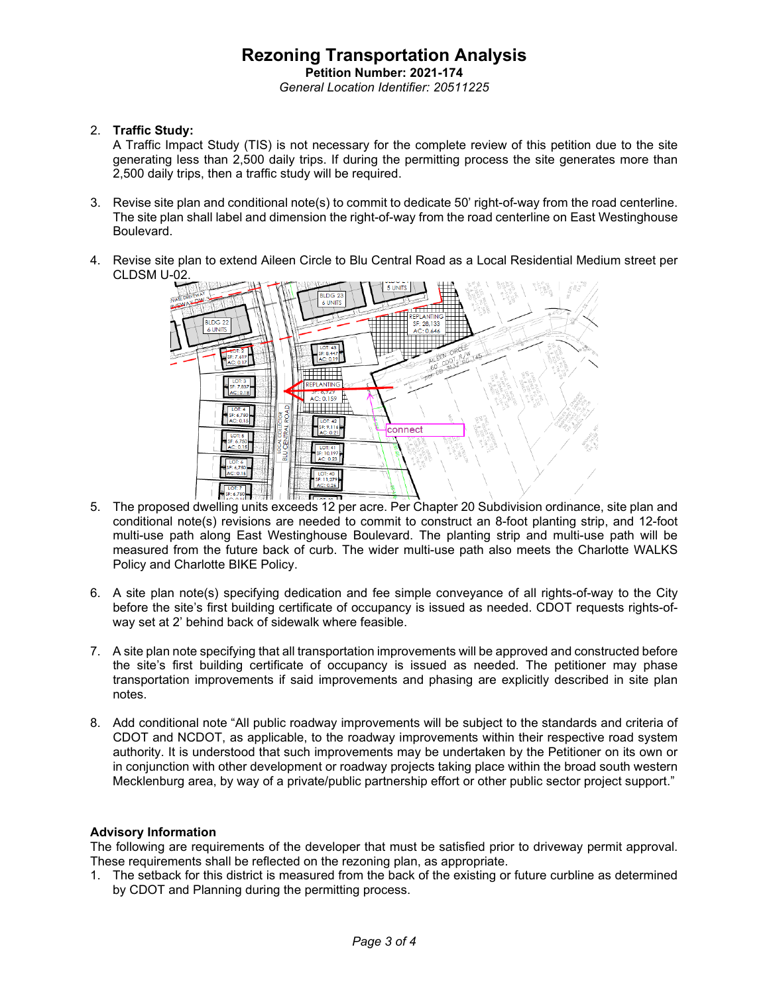### **Rezoning Transportation Analysis Petition Number: 2021-174** *General Location Identifier: 20511225*

### 2. **Traffic Study:**

A Traffic Impact Study (TIS) is not necessary for the complete review of this petition due to the site generating less than 2,500 daily trips. If during the permitting process the site generates more than 2,500 daily trips, then a traffic study will be required.

- 3. Revise site plan and conditional note(s) to commit to dedicate 50' right-of-way from the road centerline. The site plan shall label and dimension the right-of-way from the road centerline on East Westinghouse Boulevard.
- 4. Revise site plan to extend Aileen Circle to Blu Central Road as a Local Residential Medium street per CLDSM U-02.



- 5. The proposed dwelling units exceeds 12 per acre. Per Chapter 20 Subdivision ordinance, site plan and conditional note(s) revisions are needed to commit to construct an 8-foot planting strip, and 12-foot multi-use path along East Westinghouse Boulevard. The planting strip and multi-use path will be measured from the future back of curb. The wider multi-use path also meets the Charlotte WALKS Policy and Charlotte BIKE Policy.
- 6. A site plan note(s) specifying dedication and fee simple conveyance of all rights-of-way to the City before the site's first building certificate of occupancy is issued as needed. CDOT requests rights-ofway set at 2' behind back of sidewalk where feasible.
- 7. A site plan note specifying that all transportation improvements will be approved and constructed before the site's first building certificate of occupancy is issued as needed. The petitioner may phase transportation improvements if said improvements and phasing are explicitly described in site plan notes.
- 8. Add conditional note "All public roadway improvements will be subject to the standards and criteria of CDOT and NCDOT, as applicable, to the roadway improvements within their respective road system authority. It is understood that such improvements may be undertaken by the Petitioner on its own or in conjunction with other development or roadway projects taking place within the broad south western Mecklenburg area, by way of a private/public partnership effort or other public sector project support."

### **Advisory Information**

The following are requirements of the developer that must be satisfied prior to driveway permit approval. These requirements shall be reflected on the rezoning plan, as appropriate.

1. The setback for this district is measured from the back of the existing or future curbline as determined by CDOT and Planning during the permitting process.